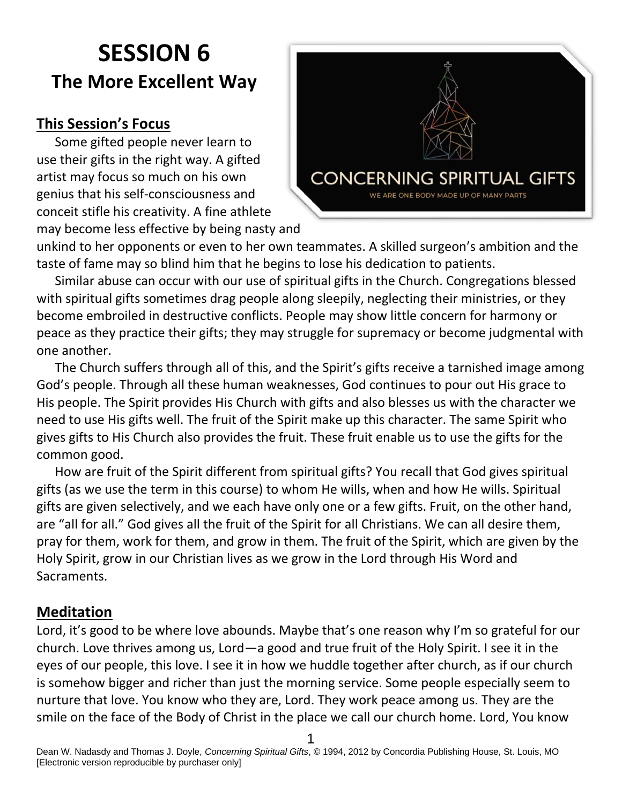# **SESSION 6 The More Excellent Way**

# **This Session's Focus**

Some gifted people never learn to use their gifts in the right way. A gifted artist may focus so much on his own genius that his self-consciousness and conceit stifle his creativity. A fine athlete may become less effective by being nasty and



unkind to her opponents or even to her own teammates. A skilled surgeon's ambition and the taste of fame may so blind him that he begins to lose his dedication to patients.

Similar abuse can occur with our use of spiritual gifts in the Church. Congregations blessed with spiritual gifts sometimes drag people along sleepily, neglecting their ministries, or they become embroiled in destructive conflicts. People may show little concern for harmony or peace as they practice their gifts; they may struggle for supremacy or become judgmental with one another.

The Church suffers through all of this, and the Spirit's gifts receive a tarnished image among God's people. Through all these human weaknesses, God continues to pour out His grace to His people. The Spirit provides His Church with gifts and also blesses us with the character we need to use His gifts well. The fruit of the Spirit make up this character. The same Spirit who gives gifts to His Church also provides the fruit. These fruit enable us to use the gifts for the common good.

How are fruit of the Spirit different from spiritual gifts? You recall that God gives spiritual gifts (as we use the term in this course) to whom He wills, when and how He wills. Spiritual gifts are given selectively, and we each have only one or a few gifts. Fruit, on the other hand, are "all for all." God gives all the fruit of the Spirit for all Christians. We can all desire them, pray for them, work for them, and grow in them. The fruit of the Spirit, which are given by the Holy Spirit, grow in our Christian lives as we grow in the Lord through His Word and Sacraments.

#### **Meditation**

Lord, it's good to be where love abounds. Maybe that's one reason why I'm so grateful for our church. Love thrives among us, Lord—a good and true fruit of the Holy Spirit. I see it in the eyes of our people, this love. I see it in how we huddle together after church, as if our church is somehow bigger and richer than just the morning service. Some people especially seem to nurture that love. You know who they are, Lord. They work peace among us. They are the smile on the face of the Body of Christ in the place we call our church home. Lord, You know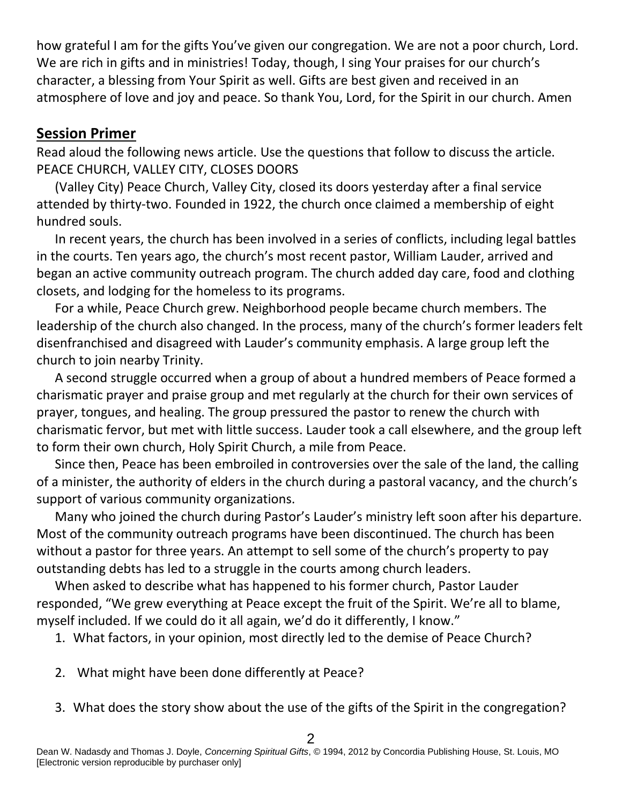how grateful I am for the gifts You've given our congregation. We are not a poor church, Lord. We are rich in gifts and in ministries! Today, though, I sing Your praises for our church's character, a blessing from Your Spirit as well. Gifts are best given and received in an atmosphere of love and joy and peace. So thank You, Lord, for the Spirit in our church. Amen

#### **Session Primer**

Read aloud the following news article. Use the questions that follow to discuss the article. PEACE CHURCH, VALLEY CITY, CLOSES DOORS

(Valley City) Peace Church, Valley City, closed its doors yesterday after a final service attended by thirty-two. Founded in 1922, the church once claimed a membership of eight hundred souls.

In recent years, the church has been involved in a series of conflicts, including legal battles in the courts. Ten years ago, the church's most recent pastor, William Lauder, arrived and began an active community outreach program. The church added day care, food and clothing closets, and lodging for the homeless to its programs.

For a while, Peace Church grew. Neighborhood people became church members. The leadership of the church also changed. In the process, many of the church's former leaders felt disenfranchised and disagreed with Lauder's community emphasis. A large group left the church to join nearby Trinity.

A second struggle occurred when a group of about a hundred members of Peace formed a charismatic prayer and praise group and met regularly at the church for their own services of prayer, tongues, and healing. The group pressured the pastor to renew the church with charismatic fervor, but met with little success. Lauder took a call elsewhere, and the group left to form their own church, Holy Spirit Church, a mile from Peace.

Since then, Peace has been embroiled in controversies over the sale of the land, the calling of a minister, the authority of elders in the church during a pastoral vacancy, and the church's support of various community organizations.

Many who joined the church during Pastor's Lauder's ministry left soon after his departure. Most of the community outreach programs have been discontinued. The church has been without a pastor for three years. An attempt to sell some of the church's property to pay outstanding debts has led to a struggle in the courts among church leaders.

When asked to describe what has happened to his former church, Pastor Lauder responded, "We grew everything at Peace except the fruit of the Spirit. We're all to blame, myself included. If we could do it all again, we'd do it differently, I know."

1. What factors, in your opinion, most directly led to the demise of Peace Church?

- 2. What might have been done differently at Peace?
- 3. What does the story show about the use of the gifts of the Spirit in the congregation?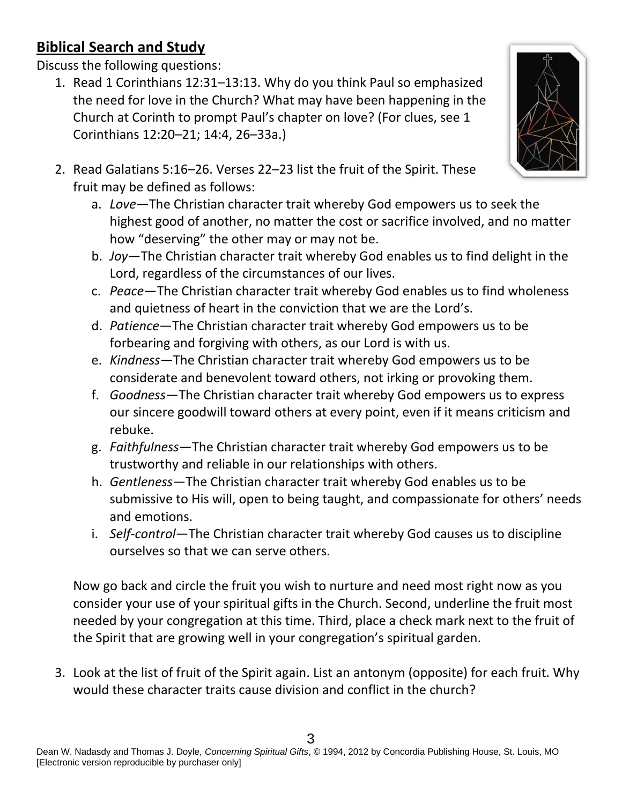# **Biblical Search and Study**

Discuss the following questions:

1. Read 1 Corinthians 12:31–13:13. Why do you think Paul so emphasized the need for love in the Church? What may have been happening in the Church at Corinth to prompt Paul's chapter on love? (For clues, see 1 Corinthians 12:20–21; 14:4, 26–33a.)



- 2. Read Galatians 5:16–26. Verses 22–23 list the fruit of the Spirit. These fruit may be defined as follows:
	- a. *Love*—The Christian character trait whereby God empowers us to seek the highest good of another, no matter the cost or sacrifice involved, and no matter how "deserving" the other may or may not be.
	- b. *Joy*—The Christian character trait whereby God enables us to find delight in the Lord, regardless of the circumstances of our lives.
	- c. *Peace*—The Christian character trait whereby God enables us to find wholeness and quietness of heart in the conviction that we are the Lord's.
	- d. *Patience*—The Christian character trait whereby God empowers us to be forbearing and forgiving with others, as our Lord is with us.
	- e. *Kindness*—The Christian character trait whereby God empowers us to be considerate and benevolent toward others, not irking or provoking them.
	- f. *Goodness*—The Christian character trait whereby God empowers us to express our sincere goodwill toward others at every point, even if it means criticism and rebuke.
	- g. *Faithfulness*—The Christian character trait whereby God empowers us to be trustworthy and reliable in our relationships with others.
	- h. *Gentleness*—The Christian character trait whereby God enables us to be submissive to His will, open to being taught, and compassionate for others' needs and emotions.
	- i. *Self-control*—The Christian character trait whereby God causes us to discipline ourselves so that we can serve others.

Now go back and circle the fruit you wish to nurture and need most right now as you consider your use of your spiritual gifts in the Church. Second, underline the fruit most needed by your congregation at this time. Third, place a check mark next to the fruit of the Spirit that are growing well in your congregation's spiritual garden.

3. Look at the list of fruit of the Spirit again. List an antonym (opposite) for each fruit. Why would these character traits cause division and conflict in the church?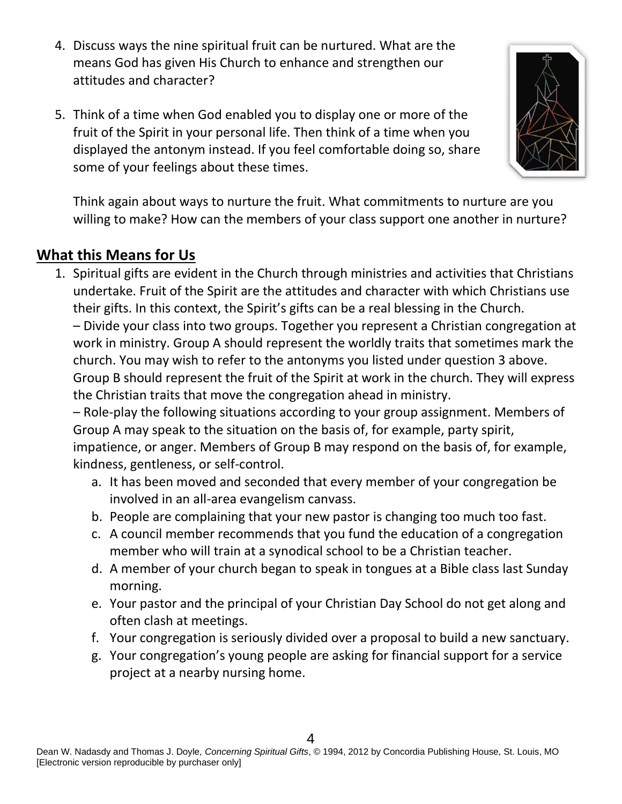- 4. Discuss ways the nine spiritual fruit can be nurtured. What are the means God has given His Church to enhance and strengthen our attitudes and character?
- 5. Think of a time when God enabled you to display one or more of the fruit of the Spirit in your personal life. Then think of a time when you displayed the antonym instead. If you feel comfortable doing so, share some of your feelings about these times.



## **What this Means for Us**

1. Spiritual gifts are evident in the Church through ministries and activities that Christians undertake. Fruit of the Spirit are the attitudes and character with which Christians use their gifts. In this context, the Spirit's gifts can be a real blessing in the Church. – Divide your class into two groups. Together you represent a Christian congregation at work in ministry. Group A should represent the worldly traits that sometimes mark the church. You may wish to refer to the antonyms you listed under question 3 above. Group B should represent the fruit of the Spirit at work in the church. They will express the Christian traits that move the congregation ahead in ministry.

– Role-play the following situations according to your group assignment. Members of Group A may speak to the situation on the basis of, for example, party spirit, impatience, or anger. Members of Group B may respond on the basis of, for example, kindness, gentleness, or self-control.

- a. It has been moved and seconded that every member of your congregation be involved in an all-area evangelism canvass.
- b. People are complaining that your new pastor is changing too much too fast.
- c. A council member recommends that you fund the education of a congregation member who will train at a synodical school to be a Christian teacher.
- d. A member of your church began to speak in tongues at a Bible class last Sunday morning.
- e. Your pastor and the principal of your Christian Day School do not get along and often clash at meetings.
- f. Your congregation is seriously divided over a proposal to build a new sanctuary.
- g. Your congregation's young people are asking for financial support for a service project at a nearby nursing home.